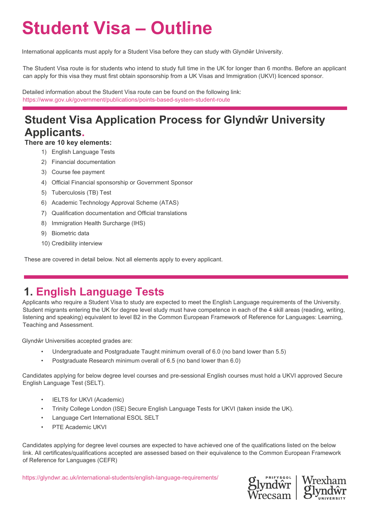# **Student Visa – Outline**

International applicants must apply for a Student Visa before they can study with Glyndŵr University.

The Student Visa route is for students who intend to study full time in the UK for longer than 6 months. Before an applicant can apply for this visa they must first obtain sponsorship from a UK Visas and Immigration (UKVI) licenced sponsor.

Detailed information about the Student Visa route can be found on the following link: [https://www.gov.uk/government/publications/points](https://www.gov.uk/government/publications/points-based-system-student-route)-based-system-student-route

## **Student Visa Application Process for Glyndŵr University Applicants.**

**There are 10 key elements:**

- 1) English Language Tests
- 2) Financial documentation
- 3) Course fee payment
- 4) Official Financial sponsorship or Government Sponsor
- 5) Tuberculosis (TB) Test
- 6) Academic Technology Approval Scheme (ATAS)
- 7) Qualification documentation and Official translations
- 8) Immigration Health Surcharge (IHS)
- 9) Biometric data
- 10) Credibility interview

These are covered in detail below. Not all elements apply to every applicant.

### **1. English Language Tests**

Applicants who require a Student Visa to study are expected to meet the English Language requirements of the University. Student migrants entering the UK for degree level study must have competence in each of the 4 skill areas (reading, writing, listening and speaking) equivalent to level B2 in the Common European Framework of Reference for Languages: Learning, Teaching and Assessment.

Glyndŵr Universities accepted grades are:

- Undergraduate and Postgraduate Taught minimum overall of 6.0 (no band lower than 5.5)
- Postgraduate Research minimum overall of 6.5 (no band lower than 6.0)

Candidates applying for below degree level courses and pre-sessional English courses must hold a UKVI approved Secure English Language Test (SELT).

- **IELTS for UKVI (Academic)**
- Trinity College London (ISE) Secure English Language Tests for UKVI (taken inside the UK).
- Language Cert International ESOL SELT
- PTE Academic UKVI

Candidates applying for degree level courses are expected to have achieved one of the qualifications listed on the below link. All certificates/qualifications accepted are assessed based on their equivalence to the Common European Framework of Reference for Languages (CEFR)

[https://glyndwr.ac.uk/international](https://glyndwr.ac.uk/international-students/english-language-requirements/)-students/english-language-requirements/

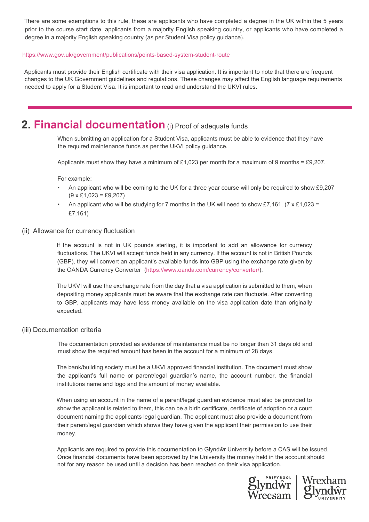There are some exemptions to this rule, these are applicants who have completed a degree in the UK within the 5 years prior to the course start date, applicants from a majority English speaking country, or applicants who have completed a degree in a majority English speaking country (as per Student Visa policy guidance).

#### [https://www.gov.uk/government/publications/](https://www.gov.uk/government/publications/points-based-system-student-route)points-based-system-student-route

Applicants must provide their English certificate with their visa application. It is important to note that there are frequent changes to the UK Government guidelines and regulations. These changes may affect the English language requirements needed to apply for a Student Visa. It is important to read and understand the UKVI rules.

#### **2. Financial documentation** (i) Proof of adequate funds

When submitting an application for a Student Visa, applicants must be able to evidence that they have the required maintenance funds as per the UKVI policy guidance.

Applicants must show they have a minimum of £1,023 per month for a maximum of 9 months = £9,207.

For example;

- An applicant who will be coming to the UK for a three year course will only be required to show £9,207  $(9 \times \text{\pounds}1,023 = \text{\pounds}9,207)$
- An applicant who will be studying for 7 months in the UK will need to show £7,161. (7 x £1,023 = £7,161)
- (ii) Allowance for currency fluctuation

If the account is not in UK pounds sterling, it is important to add an allowance for currency fluctuations. The UKVI will accept funds held in any currency. If the account is not in British Pounds (GBP), they will convert an applicant's available funds into GBP using the exchange rate given by the OANDA Currency Converter (https://www.oanda.com/currency/converter/).

The UKVI will use the exchange rate from the day that a visa application is submitted to them, when depositing money applicants must be aware that the exchange rate can fluctuate. After converting to GBP, applicants may have less money available on the visa application date than originally expected.

#### (iii) Documentation criteria

The documentation provided as evidence of maintenance must be no longer than 31 days old and must show the required amount has been in the account for a minimum of 28 days.

The bank/building society must be a UKVI approved financial institution. The document must show the applicant's full name or parent/legal guardian's name, the account number, the financial institutions name and logo and the amount of money available.

When using an account in the name of a parent/legal guardian evidence must also be provided to show the applicant is related to them, this can be a birth certificate, certificate of adoption or a court document naming the applicants legal guardian. The applicant must also provide a document from their parent/legal guardian which shows they have given the applicant their permission to use their money.

Applicants are required to provide this documentation to Glyndŵr University before a CAS will be issued. Once financial documents have been approved by the University the money held in the account should not for any reason be used until a decision has been reached on their visa application.

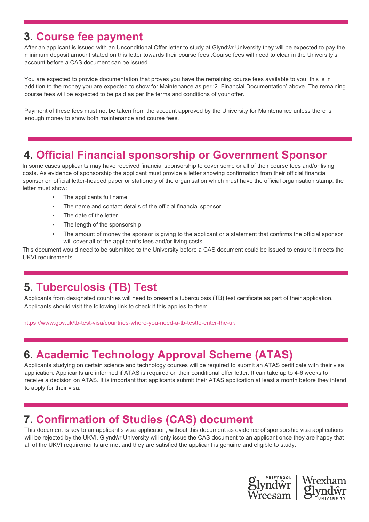#### **3. Course fee payment**

After an applicant is issued with an Unconditional Offer letter to study at Glyndŵr University they will be expected to pay the minimum deposit amount stated on this letter towards their course fees .Course fees will need to clear in the University's account before a CAS document can be issued.

You are expected to provide documentation that proves you have the remaining course fees available to you, this is in addition to the money you are expected to show for Maintenance as per '2. Financial Documentation' above. The remaining course fees will be expected to be paid as per the terms and conditions of your offer.

Payment of these fees must not be taken from the account approved by the University for Maintenance unless there is enough money to show both maintenance and course fees.

#### **4. Official Financial sponsorship or Government Sponsor**

In some cases applicants may have received financial sponsorship to cover some or all of their course fees and/or living costs. As evidence of sponsorship the applicant must provide a letter showing confirmation from their official financial sponsor on official letter-headed paper or stationery of the organisation which must have the official organisation stamp, the letter must show:

- The applicants full name
- The name and contact details of the official financial sponsor
- The date of the letter
- The length of the sponsorship
- The amount of money the sponsor is giving to the applicant or a statement that confirms the official sponsor will cover all of the applicant's fees and/or living costs.

This document would need to be submitted to the University before a CAS document could be issued to ensure it meets the UKVI requirements.

#### **5. Tuberculosis (TB) Test**

Applicants from designated countries will need to present a tuberculosis (TB) test certificate as part of their application. Applicants should visit the following link to check if this applies to them.

https://www.gov.uk/tb-test-visa/countries-where-you-need-a-tb-testto-enter-the-uk

### **6. Academic Technology Approval Scheme (ATAS)**

Applicants studying on certain science and technology courses will be required to submit an ATAS certificate with their visa application. Applicants are informed if ATAS is required on their conditional offer letter. It can take up to 4-6 weeks to receive a decision on ATAS. It is important that applicants submit their ATAS application at least a month before they intend to apply for their visa.

#### **7. Confirmation of Studies (CAS) document**

This document is key to an applicant's visa application, without this document as evidence of sponsorship visa applications will be rejected by the UKVI. Glyndŵr University will only issue the CAS document to an applicant once they are happy that all of the UKVI requirements are met and they are satisfied the applicant is genuine and eligible to study.